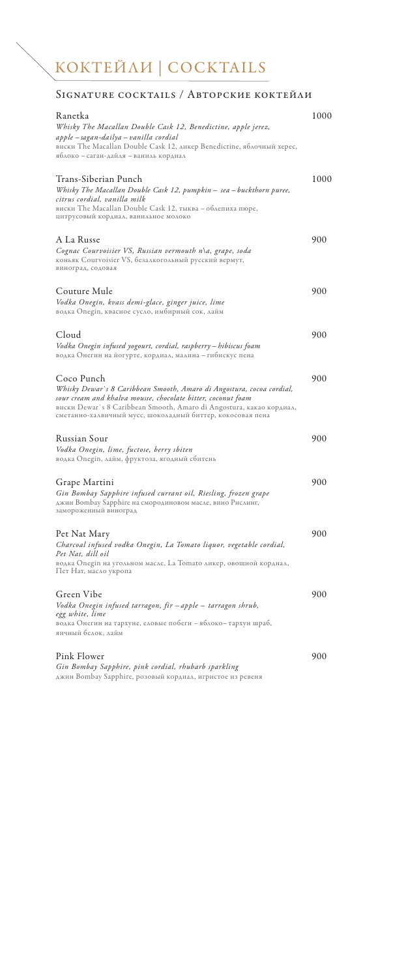# КОКТЕЙЛИ | COCKTAILS

 $\overline{\phantom{0}}$ 

### SIGNATURE COCKTAILS / АВТОРСКИЕ КОКТЕЙЛИ

| Ranetka<br>Whisky The Macallan Double Cask 12, Benedictine, apple jerez,<br>apple – sagan-dailya – vanilla cordial<br>виски The Macallan Double Cask 12, ликер Benedictine, яблочный херес,<br>яблоко – саган-дайля – ваниль кордиал                                                      | 1000 |
|-------------------------------------------------------------------------------------------------------------------------------------------------------------------------------------------------------------------------------------------------------------------------------------------|------|
| Trans-Siberian Punch<br>Whisky The Macallan Double Cask 12, pumpkin - sea - buckthorn puree,<br>citrus cordial, vanilla milk<br>виски The Macallan Double Cask 12, тыква - облепиха пюре,<br>цитрусовый кордиал, ванильное молоко                                                         | 1000 |
| A La Russe<br>Cognac Courvoisier VS, Russian vermouth n∖a, grape, soda<br>коньяк Courvoisier VS, безалкогольный русский вермут,<br>виноград, содовая                                                                                                                                      | 900  |
| Couture Mule<br>Vodka Onegin, kvass demi-glace, ginger juice, lime<br>водка Onegin, квасное сусло, имбирный сок, лайм                                                                                                                                                                     | 900  |
| Cloud<br>Vodka Onegin infused yogourt, cordial, raspberry – hibiscus foam<br>водка Онегин на йогурте, кордиал, малина – гибискус пена                                                                                                                                                     | 900  |
| Coco Punch<br>Whisky Dewar's 8 Caribbean Smooth, Amaro di Angostura, cocoa cordial,<br>sour cream and khalva mousse, chocolate bitter, coconut foam<br>виски Dewar`s 8 Caribbean Smooth, Amaro di Angostura, какао кордиал,<br>сметанно-халвичный мусс, шоколадный биттер, кокосовая пена | 900  |
| Russian Sour<br>Vodka Onegin, lime, fuctose, berry sbiten<br>водка Onegin, лайм, фруктоза, ягодный сбитень                                                                                                                                                                                | 900  |
| Grape Martini<br>Gin Bombay Sapphire infused currant oil, Riesling, frozen grape<br>джин Bombay Sapphire на смородиновом масле, вино Рислинг,<br>замороженный виноград                                                                                                                    | 900  |
| Pet Nat Mary<br>Charcoal infused vodka Onegin, La Tomato liquor, vegetable cordial,<br>Pet Nat, dill oil<br>водка Onegin на угольном масле, La Tomato ликер, овощной кордиал,<br>Пет Нат, масло укропа                                                                                    | 900  |
| Green Vibe<br>Vodka Onegin infused tarragon, fir – apple – tarragon shrub,<br>egg white, lime<br>водка Онегин на тархуне, еловые побеги – яблоко– тархун шраб,<br>яичный белок, лайм                                                                                                      | 900  |
| Pink Flower<br>Gin Bombay Sapphire, pink cordial, rhubarb sparkling<br>джин Bombay Sapphire, розовый кордиал, игристое из ревеня                                                                                                                                                          | 900  |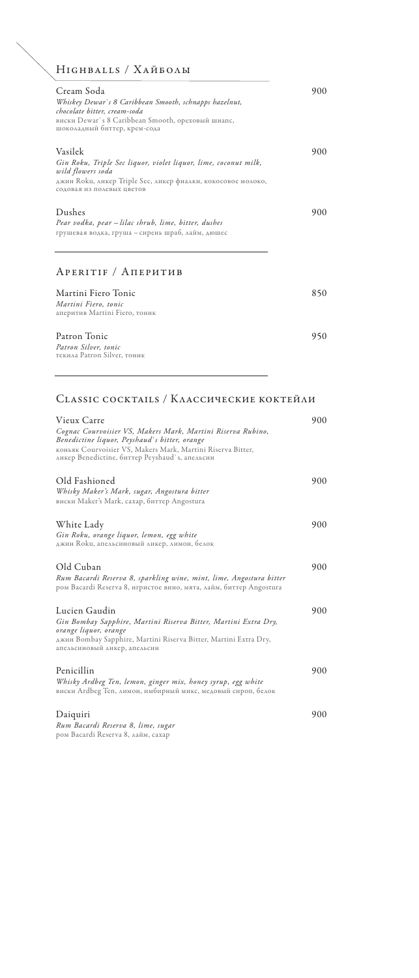### Highballs / Хайболы

| Cream Soda<br>Whiskey Dewar's 8 Caribbean Smooth, schnapps hazelnut,<br>chocolate bitter, cream-soda<br>виски Dewar's 8 Caribbean Smooth, ореховый шнапс,<br>шоколадный биттер, крем-сода    | 900 |
|----------------------------------------------------------------------------------------------------------------------------------------------------------------------------------------------|-----|
| Vasilek<br>Gin Roku, Triple Sec liquor, violet liquor, lime, coconut milk,<br>wild flowers soda<br>джин Roku, ликер Triple Sec, ликер фиалки, кокосовое молоко,<br>содовая из полевых цветов | 900 |
| Dushes<br>Pear vodka, pear – lilac shrub, lime, bitter, dushes<br>грушевая водка, груша - сирень шраб, лайм, дюшес<br>APERITIF / AПЕРИТИВ                                                    | 900 |
| Martini Fiero Tonic                                                                                                                                                                          | 850 |

| Martini Fiero, tonic<br>аперитив Martini Fiero, тоник               |     |
|---------------------------------------------------------------------|-----|
| Patron Tonic<br>Patron Silver, tonic<br>текила Patron Silver, тоник | 950 |

#### Classic сocktails / Классические коктейли

<u> 1989 - Johann Barbara, martxa amerikan per</u>

| Vieux Carre                                                                                                                               | 900 |
|-------------------------------------------------------------------------------------------------------------------------------------------|-----|
| Cognac Courvoisier VS, Makers Mark, Martini Riserva Rubino,<br>Benedictine liquor, Peyshaud's bitter, orange                              |     |
| коньяк Courvoisier VS, Makers Mark, Martini Riserva Bitter,<br>ликер Benedictine, биттер Peyshaud's, апельсин                             |     |
| Old Fashioned                                                                                                                             | 900 |
| Whisky Maker's Mark, sugar, Angostura bitter<br>виски Maker's Mark, сахар, биттер Angostura                                               |     |
| White Lady                                                                                                                                | 900 |
| Gin Roku, orange liquor, lemon, egg white<br>джин Roku, апельсиновый ликер, лимон, белок                                                  |     |
| Old Cuban                                                                                                                                 | 900 |
| Rum Bacardi Reserva 8, sparkling wine, mint, lime, Angostura bitter<br>ром Bacardi Reserva 8, игристое вино, мята, лайм, биттер Angostura |     |
| Lucien Gaudin                                                                                                                             | 900 |
| Gin Bombay Sapphire, Martini Riserva Bitter, Martini Extra Dry,<br>orange liquor, orange                                                  |     |
| джин Bombay Sapphire, Martini Riserva Bitter, Martini Extra Dry,<br>апельсиновый ликер, апельсин                                          |     |
| Penicillin                                                                                                                                | 900 |
| Whisky Ardbeg Ten, lemon, ginger mix, honey syrup, egg white<br>виски Ardbeg Ten, лимон, имбирный микс, медовый сироп, белок              |     |
| Daiquiri                                                                                                                                  | 900 |
| Rum Bacardi Reserva 8, lime, sugar<br>ром Bacardi Reserva 8, лайм, сахар                                                                  |     |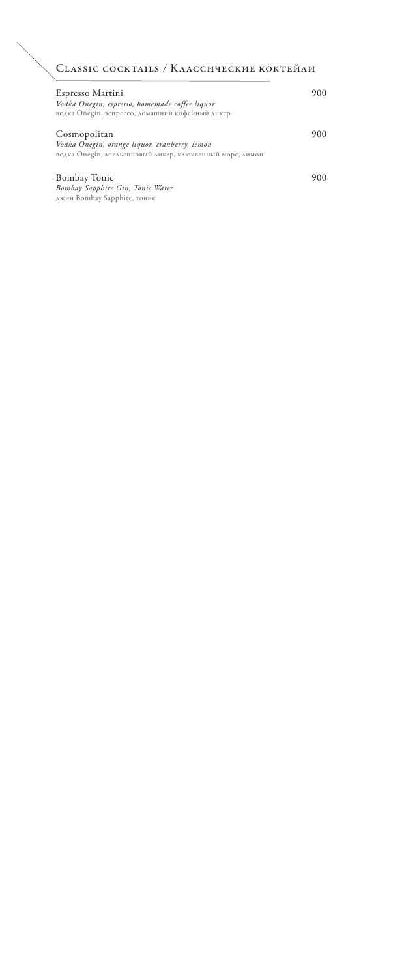### Classic сocktails / Классические коктейли

| Espresso Martini<br>Vodka Onegin, espresso, homemade coffee liquor<br>водка Onegin, эспрессо, домашний кофейный ликер     |     |
|---------------------------------------------------------------------------------------------------------------------------|-----|
| Cosmopolitan<br>Vodka Onegin, orange liquor, cranberry, lemon<br>водка Onegin, апельсиновый ликер, клюквенный морс, лимон | 900 |
| <b>Bombay Tonic</b><br>Bombay Sapphire Gin, Tonic Water<br>джин Bombay Sapphire, тоник                                    |     |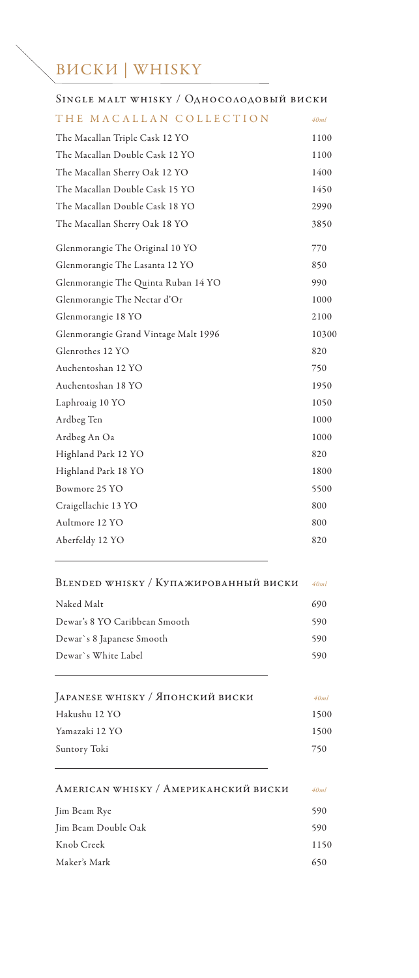# ВИСКИ | WHISKY

| SINGLE MALT WHISKY / ОДНОСОЛОДОВЫЙ ВИСКИ |       |
|------------------------------------------|-------|
| THE MACALLAN COLLECTION                  | 40ml  |
| The Macallan Triple Cask 12 YO           | 1100  |
| The Macallan Double Cask 12 YO           | 1100  |
| The Macallan Sherry Oak 12 YO            | 1400  |
| The Macallan Double Cask 15 YO           | 1450  |
| The Macallan Double Cask 18 YO           | 2990  |
| The Macallan Sherry Oak 18 YO            | 3850  |
| Glenmorangie The Original 10 YO          | 770   |
| Glenmorangie The Lasanta 12 YO           | 850   |
| Glenmorangie The Quinta Ruban 14 YO      | 990   |
| Glenmorangie The Nectar d'Or             | 1000  |
| Glenmorangie 18 YO                       | 2100  |
| Glenmorangie Grand Vintage Malt 1996     | 10300 |
| Glenrothes 12 YO                         | 820   |
| Auchentoshan 12 YO                       | 750   |
| Auchentoshan 18 YO                       | 1950  |
| Laphroaig 10 YO                          | 1050  |
| Ardbeg Ten                               | 1000  |
| Ardbeg An Oa                             | 1000  |
| Highland Park 12 YO                      | 820   |
| Highland Park 18 YO                      | 1800  |
| Bowmore 25 YO                            | 5500  |
| Craigellachie 13 YO                      | 800   |
| Aultmore 12 YO                           | 800   |
| Aberfeldy 12 YO                          | 820   |
| BLENDED WHISKY / КУПАЖИРОВАННЫЙ ВИСКИ    | 40ml  |
| Naked Malt                               | 690   |
| Dewar's 8 YO Caribbean Smooth            | 590   |
| Dewar's 8 Japanese Smooth                | 590   |
| Dewar's White Label                      | 590   |
| JAPANESE WHISKY / Японский виски         | 40ml  |
| Hakushu 12 YO                            | 1500  |
| Yamazaki 12 YO                           | 1500  |
| Suntory Toki                             | 750   |
| AMERICAN WHISKY / АМЕРИКАНСКИЙ ВИСКИ     | 40ml  |
| Jim Beam Rye                             | 590   |
| Jim Beam Double Oak                      | 590   |
| Knob Creek                               | 1150  |
|                                          |       |

Maker's Mark 650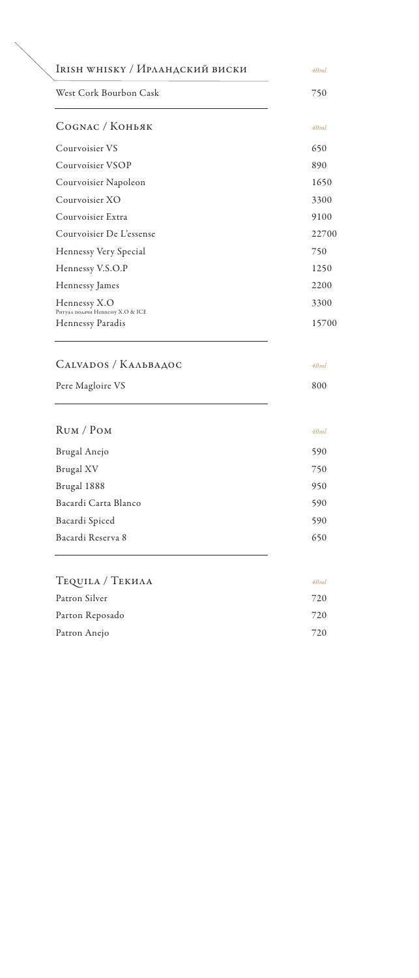| IRISH WHISKY / Ирландский виски                                              | 40ml         |
|------------------------------------------------------------------------------|--------------|
| West Cork Bourbon Cask                                                       | 750          |
| Сосмас / Коньяк                                                              | 40ml         |
| Courvoisier VS                                                               | 650          |
| Courvoisier VSOP                                                             | 890          |
| Courvoisier Napoleon                                                         | 1650         |
| Courvoisier XO                                                               | 3300         |
| Courvoisier Extra                                                            | 9100         |
| Courvoisier De L'essense                                                     | 22700        |
| Hennessy Very Special                                                        | 750          |
| Hennessy V.S.O.P                                                             | 1250         |
| Hennessy James                                                               | 2200         |
| Hennessy X.O                                                                 | 3300         |
|                                                                              |              |
| Ритуал подачи Hennessy X.O & ICE<br>Hennessy Paradis<br>CALVADOS / KAABBAAOC | 40ml         |
| Pere Magloire VS                                                             | 800          |
| RUM / POM                                                                    | 40ml         |
|                                                                              |              |
| Brugal Anejo                                                                 | 590          |
| Brugal XV                                                                    | 750          |
| Brugal 1888                                                                  | 950          |
| Bacardi Carta Blanco                                                         | 590          |
| Bacardi Spiced<br>Bacardi Reserva 8                                          | 590<br>650   |
|                                                                              |              |
| TEQUILA / TEKHAA                                                             | 40ml         |
| Patron Silver                                                                | 720          |
| Parton Reposado<br>Patron Anejo                                              | 15700<br>720 |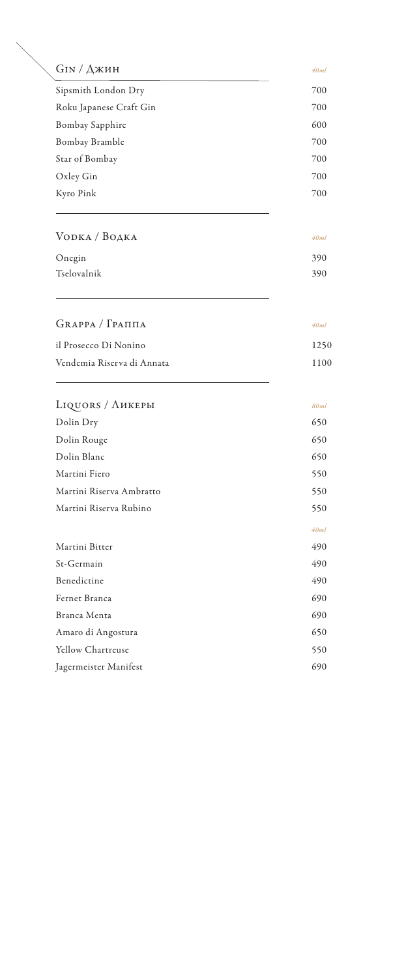| $GIN / \Delta$ жин         | 40ml |
|----------------------------|------|
| Sipsmith London Dry        | 700  |
| Roku Japanese Craft Gin    | 700  |
| <b>Bombay Sapphire</b>     | 600  |
| Bombay Bramble             | 700  |
| Star of Bombay             | 700  |
| Oxley Gin                  | 700  |
| Kyro Pink                  | 700  |
| VODKA / BOAKA              | 40ml |
| Onegin                     | 390  |
| Tselovalnik                | 390  |
| $GRAPPA / \Gamma PA\Pi$    | 40ml |
|                            |      |
| il Prosecco Di Nonino      | 1250 |
| Vendemia Riserva di Annata | 1100 |
| LIQUORS / ЛИКЕРЫ           | 80ml |
| Dolin Dry                  | 650  |
| Dolin Rouge                | 650  |
| Dolin Blanc                | 650  |
| Martini Fiero              | 550  |
| Martini Riserva Ambratto   | 550  |
| Martini Riserva Rubino     | 550  |
|                            | 40ml |
| Martini Bitter             | 490  |
| St-Germain                 | 490  |
| Benedictine                | 490  |
| Fernet Branca              | 690  |
| Branca Menta               | 690  |
| Amaro di Angostura         | 650  |
| <b>Yellow Chartreuse</b>   | 550  |
| Jagermeister Manifest      | 690  |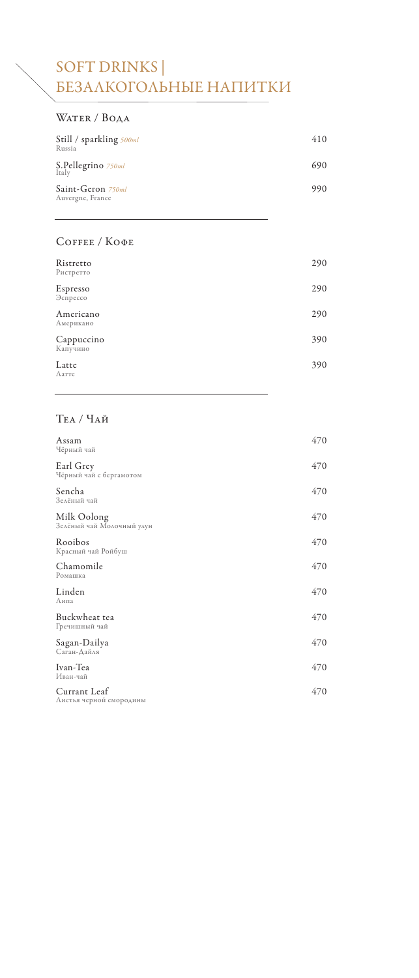## SOFT DRINKS | БЕЗАЛКОГОЛЬНЫЕ НАПИТКИ

### Water / Вода

| Still / sparkling 500ml<br>Russia     | 410 |
|---------------------------------------|-----|
| S.Pellegrino 750ml<br>Italy           | 690 |
| Saint-Geron 750ml<br>Auvergne, France | 990 |

#### Coffee / Кофе

| Ristretto<br>Ристретто | 290 |
|------------------------|-----|
| Espresso<br>Эспрессо   | 290 |
| Americano<br>Американо | 290 |
| Cappuccino<br>Капучино | 390 |
| Latte<br>Латте         | 390 |

### Tea / Чай

| Assam<br>Чёрный чай                      | 470 |
|------------------------------------------|-----|
| Earl Grey<br>Чёрный чай с бергамотом     | 470 |
| Sencha<br>Зелёный чай                    | 470 |
| Milk Oolong<br>Зелёный чай Молочный улун | 470 |
| Rooibos<br>Красный чай Ройбуш            | 470 |
| Chamomile<br>Ромашка                     | 470 |
| Linden<br>Липа                           | 470 |
| Buckwheat tea<br>Гречишный чай           | 470 |
| Sagan-Dailya<br>Саган-Дайля              | 470 |
| Ivan-Tea<br>Иван-чай                     | 470 |
| Currant Leaf<br>Листья черной смородины  | 470 |